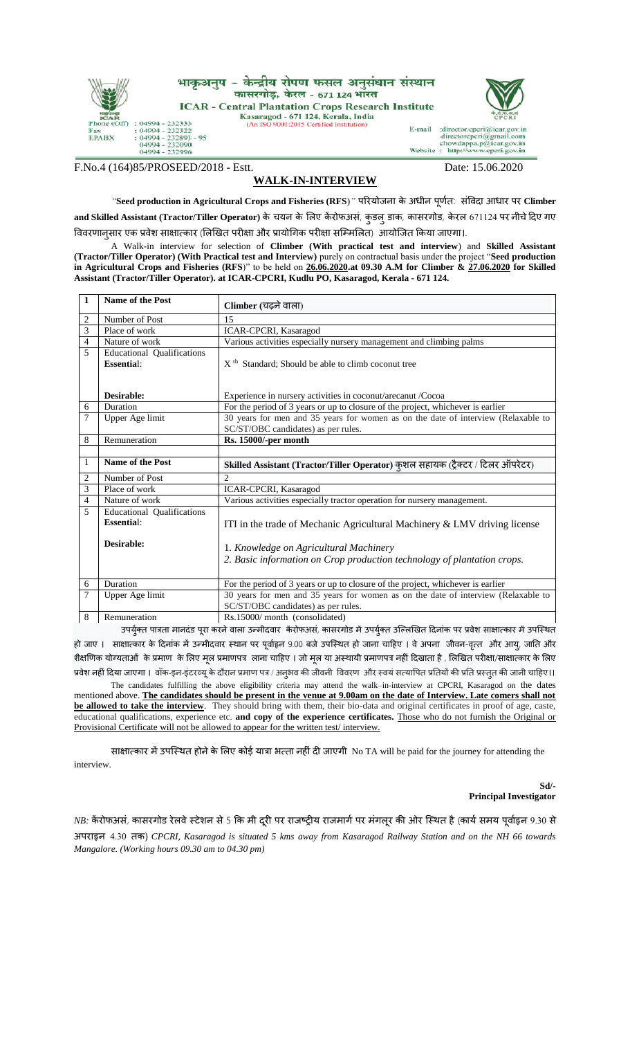

F.No.4 (164)85/PROSEED/2018 - Estt. Date: 15.06.2020

## **WALK-IN-INTERVIEW**

*"***Seed production in Agricultural Crops and Fisheries (RFS**)*"* परियोजना के अधीन पूर्तण : संविदा आधाि पि **Climber**  and Skilled Assistant (Tractor/Tiller Operator) के चयन के लिए केंरोफअसं, कुडलु डाक, कासरगोड, केरल 671124 पर नीचे दिए गए विवरणानुसार एक प्रवेश साक्षात्कार (लिखित परीक्षा और प्रायोगिक परीक्षा सम्मिलित) आयोजित किया जाएगा।.

A Walk-in interview for selection of **Climber (With practical test and interview**) and **Skilled Assistant (Tractor/Tiller Operator) (With Practical test and Interview)** purely on contractual basis under the project "**Seed production**  in Agricultural Crops and Fisheries (RFS)" to be held on 26.06.2020.at 09.30 A.M for Climber & 27.06.2020 for Skilled **Assistant (Tractor/Tiller Operator). at ICAR-CPCRI, Kudlu PO, Kasaragod, Kerala - 671 124.**

| 1              | <b>Name of the Post</b>                                              | Climber (चढ़ने वाला)                                                                                                                                                                           |  |  |
|----------------|----------------------------------------------------------------------|------------------------------------------------------------------------------------------------------------------------------------------------------------------------------------------------|--|--|
| 2              | Number of Post                                                       | 15                                                                                                                                                                                             |  |  |
| 3              | Place of work                                                        | <b>ICAR-CPCRI, Kasaragod</b>                                                                                                                                                                   |  |  |
| 4              | Nature of work                                                       | Various activities especially nursery management and climbing palms                                                                                                                            |  |  |
| 5              | <b>Educational Qualifications</b><br><b>Essential:</b>               | $Xth$ Standard; Should be able to climb coconut tree                                                                                                                                           |  |  |
|                | Desirable:                                                           | Experience in nursery activities in coconut/arecanut/Cocoa                                                                                                                                     |  |  |
| 6              | Duration                                                             | For the period of 3 years or up to closure of the project, whichever is earlier                                                                                                                |  |  |
| 7              | Upper Age limit                                                      | 30 years for men and 35 years for women as on the date of interview (Relaxable to                                                                                                              |  |  |
|                |                                                                      | SC/ST/OBC candidates) as per rules.                                                                                                                                                            |  |  |
| 8              | Remuneration                                                         | <b>Rs. 15000/-per month</b>                                                                                                                                                                    |  |  |
|                |                                                                      |                                                                                                                                                                                                |  |  |
|                |                                                                      | Skilled Assistant (Tractor/Tiller Operator) कुशल सहायक (ट्रैक्टर / टिलर ऑपरेटर)                                                                                                                |  |  |
| 1              | <b>Name of the Post</b>                                              |                                                                                                                                                                                                |  |  |
| 2              | Number of Post                                                       | $\overline{c}$                                                                                                                                                                                 |  |  |
| 3              | Place of work                                                        | <b>ICAR-CPCRI, Kasaragod</b>                                                                                                                                                                   |  |  |
| 4              | Nature of work                                                       | Various activities especially tractor operation for nursery management.                                                                                                                        |  |  |
| 5              | <b>Educational Qualifications</b><br><b>Essential:</b><br>Desirable: | ITI in the trade of Mechanic Agricultural Machinery & LMV driving license<br>1. Knowledge on Agricultural Machinery<br>2. Basic information on Crop production technology of plantation crops. |  |  |
| 6              | Duration                                                             | For the period of 3 years or up to closure of the project, whichever is earlier                                                                                                                |  |  |
| $\overline{7}$ | Upper Age limit                                                      | 30 years for men and 35 years for women as on the date of interview (Relaxable to<br>SC/ST/OBC candidates) as per rules.<br>Rs.15000/month (consolidated)                                      |  |  |

उपर्युक्त पात्रता मानदंड पूरा करने वाला उन्मीदवार केंरोफअसं, कासरगोड में उपर्युक्त उल्लिखित दिनांक पर प्रवेश साक्षात्कार में उपस्थित हो जाए । साक्षात्कार के दिनांक में उन्मीदवार स्थान पर पूर्वाहृन 9.00 बजे उपस्थित हो जाना चाहिए । वे अपना जीवन-वृत्त और आयू, जाति और शैक्षणिक योग्यताओं के प्रमाण के लिए मूल प्रमाणपत्र लाना चाहिए । जो मूल या अस्थायी प्रमाणपत्र नहीं दिखाता है , लिखित परीक्षा/साक्षात्कार के लिए प्रवेश नहीं दिया जाएगा । वॉक-इन-इंटरव्यू के दौरान प्रमाण पत्र / अनुभव की जीवनी विवरण और स्वयं सत्यापित प्रतियों की प्रति प्रस्तुत की जानी चाहिए।।

The candidates fulfilling the above eligibility criteria may attend the walk–in-interview at CPCRI, Kasaragod on the dates mentioned above. **The candidates should be present in the venue at 9.00am on the date of Interview. Late comers shall not be allowed to take the interview**. They should bring with them, their bio-data and original certificates in proof of age, caste, educational qualifications, experience etc. **and copy of the experience certificates.** Those who do not furnish the Original or Provisional Certificate will not be allowed to appear for the written test/interview.

साक्षात्कार में उपस्थित होने के लिए कोई यात्रा भत्ता नहीं दी जाएगी No TA will be paid for the journey for attending the interview.

> **Sd/- Principal Investigator**

## *NB:* केंरोफअसं, कासरगोड रेलवे स्टेशन से 5 कि मी दूरी पर राजष्ट्रीय राजमार्ग पर मंगलूर की ओर स्थित है (कार्य समय पूर्वाहृन 9.30 से

अपिाहृन 4.30 तक) *CPCRI, Kasaragod is situated 5 kms away from Kasaragod Railway Station and on the NH 66 towards Mangalore. (Working hours 09.30 am to 04.30 pm)*